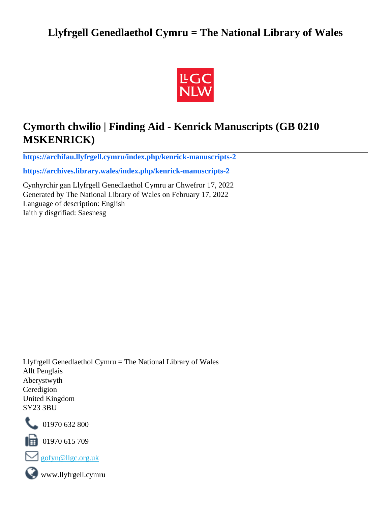# **Llyfrgell Genedlaethol Cymru = The National Library of Wales**



# **Cymorth chwilio | Finding Aid - Kenrick Manuscripts (GB 0210 MSKENRICK)**

**[https://archifau.llyfrgell.cymru/index.php/kenrick-manuscripts-2](https://archifau.llyfrgell.cymru/index.php/kenrick-manuscripts-2;isad?sf_culture=cy)**

**[https://archives.library.wales/index.php/kenrick-manuscripts-2](https://archives.library.wales/index.php/kenrick-manuscripts-2;isad?sf_culture=en)**

Cynhyrchir gan Llyfrgell Genedlaethol Cymru ar Chwefror 17, 2022 Generated by The National Library of Wales on February 17, 2022 Language of description: English Iaith y disgrifiad: Saesnesg

Llyfrgell Genedlaethol Cymru = The National Library of Wales Allt Penglais Aberystwyth Ceredigion United Kingdom SY23 3BU



101970 632 800

 $\blacksquare$  01970 615 709



www.llyfrgell.cymru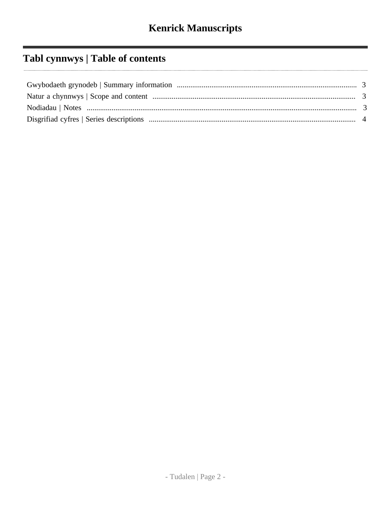# Tabl cynnwys | Table of contents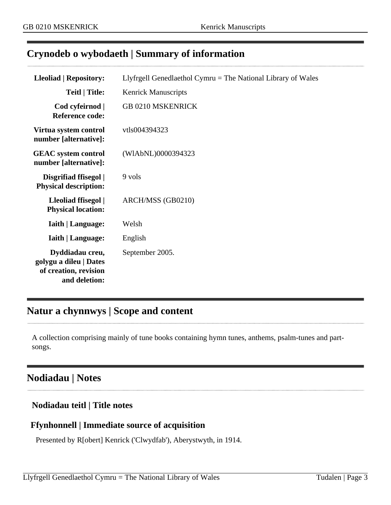## <span id="page-2-0"></span>**Crynodeb o wybodaeth | Summary of information**

| Lleoliad   Repository:                                                              | Llyfrgell Genedlaethol Cymru $=$ The National Library of Wales |
|-------------------------------------------------------------------------------------|----------------------------------------------------------------|
| <b>Teitl</b>   Title:                                                               | <b>Kenrick Manuscripts</b>                                     |
| Cod cyfeirnod  <br><b>Reference code:</b>                                           | <b>GB 0210 MSKENRICK</b>                                       |
| Virtua system control<br>number [alternative]:                                      | vtls004394323                                                  |
| <b>GEAC</b> system control<br>number [alternative]:                                 | (WIAbNL)0000394323                                             |
| Disgrifiad ffisegol  <br><b>Physical description:</b>                               | 9 vols                                                         |
| Lleoliad ffisegol  <br><b>Physical location:</b>                                    | ARCH/MSS (GB0210)                                              |
| <b>Iaith   Language:</b>                                                            | Welsh                                                          |
| <b>Iaith   Language:</b>                                                            | English                                                        |
| Dyddiadau creu,<br>golygu a dileu   Dates<br>of creation, revision<br>and deletion: | September 2005.                                                |

# <span id="page-2-1"></span>**Natur a chynnwys | Scope and content**

A collection comprising mainly of tune books containing hymn tunes, anthems, psalm-tunes and partsongs.

## <span id="page-2-2"></span>**Nodiadau | Notes**

## **Nodiadau teitl | Title notes**

## **Ffynhonnell | Immediate source of acquisition**

Presented by R[obert] Kenrick ('Clwydfab'), Aberystwyth, in 1914.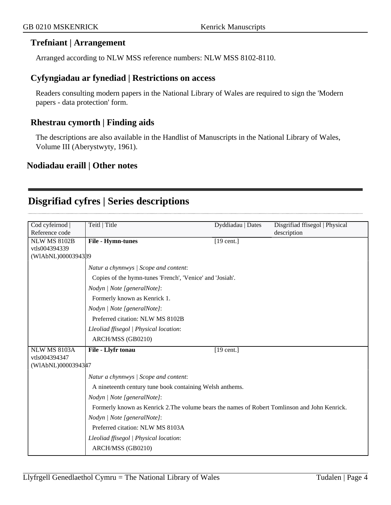### **Trefniant | Arrangement**

Arranged according to NLW MSS reference numbers: NLW MSS 8102-8110.

#### **Cyfyngiadau ar fynediad | Restrictions on access**

Readers consulting modern papers in the National Library of Wales are required to sign the 'Modern papers - data protection' form.

### **Rhestrau cymorth | Finding aids**

The descriptions are also available in the Handlist of Manuscripts in the National Library of Wales, Volume III (Aberystwyty, 1961).

#### **Nodiadau eraill | Other notes**

## <span id="page-3-0"></span>**Disgrifiad cyfres | Series descriptions**

| Cod cyfeirnod       | Teitl   Title                                                                                 | Dyddiadau   Dates | Disgrifiad ffisegol   Physical |
|---------------------|-----------------------------------------------------------------------------------------------|-------------------|--------------------------------|
| Reference code      |                                                                                               |                   | description                    |
| <b>NLW MS 8102B</b> | File - Hymn-tunes                                                                             | $[19$ cent.]      |                                |
| vtls004394339       |                                                                                               |                   |                                |
| (WIAbNL)0000394389  |                                                                                               |                   |                                |
|                     | Natur a chynnwys / Scope and content:                                                         |                   |                                |
|                     | Copies of the hymn-tunes 'French', 'Venice' and 'Josiah'.                                     |                   |                                |
|                     | Nodyn   Note [generalNote]:                                                                   |                   |                                |
|                     | Formerly known as Kenrick 1.                                                                  |                   |                                |
|                     | Nodyn   Note [generalNote]:                                                                   |                   |                                |
|                     | Preferred citation: NLW MS 8102B                                                              |                   |                                |
|                     | Lleoliad ffisegol   Physical location:                                                        |                   |                                |
|                     | ARCH/MSS (GB0210)                                                                             |                   |                                |
| <b>NLW MS 8103A</b> | File - Llyfr tonau                                                                            | $[19$ cent.]      |                                |
| vtls004394347       |                                                                                               |                   |                                |
| (WIAbNL)00003943#7  |                                                                                               |                   |                                |
|                     | Natur a chynnwys / Scope and content:                                                         |                   |                                |
|                     | A nineteenth century tune book containing Welsh anthems.                                      |                   |                                |
|                     | Nodyn   Note [generalNote]:                                                                   |                   |                                |
|                     | Formerly known as Kenrick 2. The volume bears the names of Robert Tomlinson and John Kenrick. |                   |                                |
|                     | Nodyn   Note [generalNote]:                                                                   |                   |                                |
|                     | Preferred citation: NLW MS 8103A                                                              |                   |                                |
|                     | Lleoliad ffisegol   Physical location:                                                        |                   |                                |
|                     | ARCH/MSS (GB0210)                                                                             |                   |                                |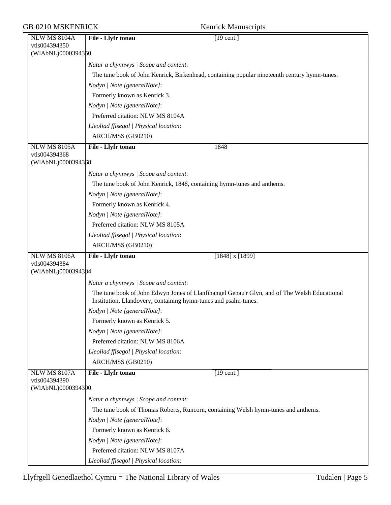| <b>GB 0210 MSKENRICK</b> | <b>Kenrick Manuscripts</b> |
|--------------------------|----------------------------|
|--------------------------|----------------------------|

|  | <b>Kenrick Manuscripts</b> |
|--|----------------------------|
|  |                            |

| <b>NLW MS 8104A</b>                 | File - Llyfr tonau<br>$[19$ cent.]                                                           |
|-------------------------------------|----------------------------------------------------------------------------------------------|
| vtls004394350                       |                                                                                              |
| (WIAbNL)0000394350                  |                                                                                              |
|                                     | Natur a chynnwys / Scope and content:                                                        |
|                                     | The tune book of John Kenrick, Birkenhead, containing popular nineteenth century hymn-tunes. |
|                                     | Nodyn   Note [generalNote]:                                                                  |
|                                     | Formerly known as Kenrick 3.                                                                 |
|                                     | Nodyn   Note [generalNote]:                                                                  |
|                                     | Preferred citation: NLW MS 8104A                                                             |
|                                     | Lleoliad ffisegol   Physical location:                                                       |
|                                     | ARCH/MSS (GB0210)                                                                            |
| <b>NLW MS 8105A</b>                 | File - Llyfr tonau<br>1848                                                                   |
| vtls004394368                       |                                                                                              |
| (WIAbNL)0000394368                  |                                                                                              |
|                                     | Natur a chynnwys / Scope and content:                                                        |
|                                     | The tune book of John Kenrick, 1848, containing hymn-tunes and anthems.                      |
|                                     | Nodyn   Note [generalNote]:                                                                  |
|                                     | Formerly known as Kenrick 4.                                                                 |
|                                     | Nodyn   Note [generalNote]:                                                                  |
|                                     | Preferred citation: NLW MS 8105A                                                             |
|                                     | Lleoliad ffisegol   Physical location:                                                       |
|                                     | ARCH/MSS (GB0210)                                                                            |
| <b>NLW MS 8106A</b>                 | File - Llyfr tonau<br>$[1848]$ x $[1899]$                                                    |
| vtls004394384<br>(WIAbNL)0000394384 |                                                                                              |
|                                     | Natur a chynnwys / Scope and content:                                                        |
|                                     | The tune book of John Edwyn Jones of Llanfihangel Genau'r Glyn, and of The Welsh Educational |
|                                     | Institution, Llandovery, containing hymn-tunes and psalm-tunes.                              |
|                                     | Nodyn   Note [generalNote]:                                                                  |
|                                     | Formerly known as Kenrick 5.                                                                 |
|                                     | Nodyn   Note [generalNote]:                                                                  |
|                                     | Preferred citation: NLW MS 8106A                                                             |
|                                     | Lleoliad ffisegol   Physical location:                                                       |
|                                     | ARCH/MSS (GB0210)                                                                            |
| <b>NLW MS 8107A</b>                 | File - Llyfr tonau<br>$[19 \text{ cent.}]$                                                   |
| vtls004394390<br>(WIAbNL)0000394390 |                                                                                              |
|                                     | Natur a chynnwys / Scope and content:                                                        |
|                                     | The tune book of Thomas Roberts, Runcorn, containing Welsh hymn-tunes and anthems.           |
|                                     | Nodyn   Note [generalNote]:                                                                  |
|                                     | Formerly known as Kenrick 6.                                                                 |
|                                     | Nodyn   Note [generalNote]:                                                                  |
|                                     | Preferred citation: NLW MS 8107A                                                             |
|                                     | Lleoliad ffisegol   Physical location:                                                       |